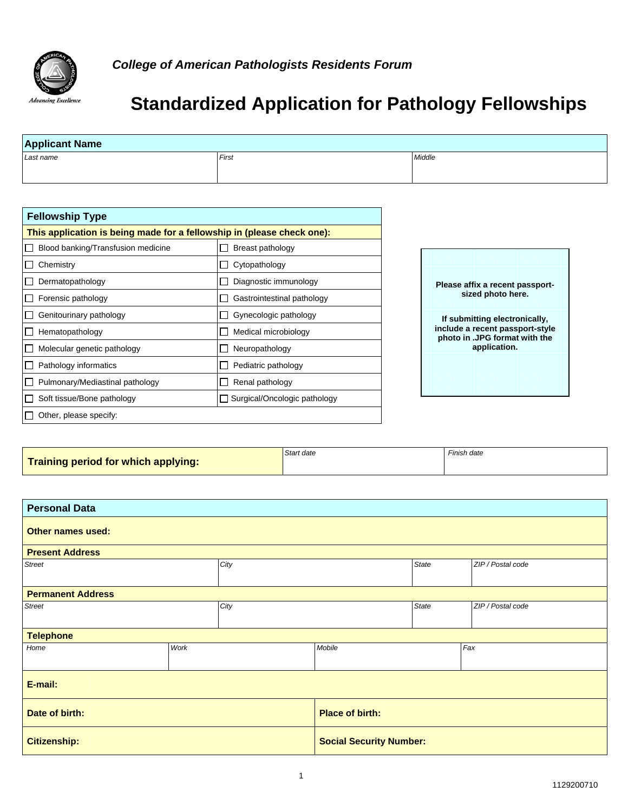

## **Standardized Application for Pathology Fellowships**

| Last name                                                              | First                                     | Middle                                                           |
|------------------------------------------------------------------------|-------------------------------------------|------------------------------------------------------------------|
|                                                                        |                                           |                                                                  |
|                                                                        |                                           |                                                                  |
| <b>Fellowship Type</b>                                                 |                                           |                                                                  |
| This application is being made for a fellowship in (please check one): |                                           |                                                                  |
| Blood banking/Transfusion medicine                                     | Breast pathology                          |                                                                  |
| Chemistry<br>П                                                         | Cytopathology<br>$\overline{\phantom{a}}$ |                                                                  |
| Dermatopathology                                                       | Diagnostic immunology                     | Please affix a recent passport-                                  |
| Forensic pathology                                                     | Gastrointestinal pathology                | sized photo here.                                                |
| Genitourinary pathology                                                | Gynecologic pathology                     | If submitting electronically,                                    |
| Hematopathology                                                        | Medical microbiology                      | include a recent passport-style<br>photo in .JPG format with the |
| Molecular genetic pathology                                            | Neuropathology                            | application.                                                     |
| Pathology informatics                                                  | Pediatric pathology                       |                                                                  |
| Pulmonary/Mediastinal pathology                                        | Renal pathology                           |                                                                  |
| Soft tissue/Bone pathology<br>$\Box$                                   | □ Surgical/Oncologic pathology            |                                                                  |
| $\Box$ Other, please specify:                                          |                                           |                                                                  |

|  | Training period for which applying: |  |
|--|-------------------------------------|--|
|  |                                     |  |

**Start date** Finish date

| <b>Personal Data</b>     |      |      |                                |  |                   |  |  |
|--------------------------|------|------|--------------------------------|--|-------------------|--|--|
| Other names used:        |      |      |                                |  |                   |  |  |
| <b>Present Address</b>   |      |      |                                |  |                   |  |  |
| <b>Street</b>            |      | City |                                |  | ZIP / Postal code |  |  |
| <b>Permanent Address</b> |      |      |                                |  |                   |  |  |
| <b>Street</b>            | City |      | State                          |  | ZIP / Postal code |  |  |
| <b>Telephone</b>         |      |      |                                |  |                   |  |  |
| Home                     | Work |      | Mobile                         |  | Fax               |  |  |
| E-mail:                  |      |      |                                |  |                   |  |  |
| Date of birth:           |      |      | <b>Place of birth:</b>         |  |                   |  |  |
| <b>Citizenship:</b>      |      |      | <b>Social Security Number:</b> |  |                   |  |  |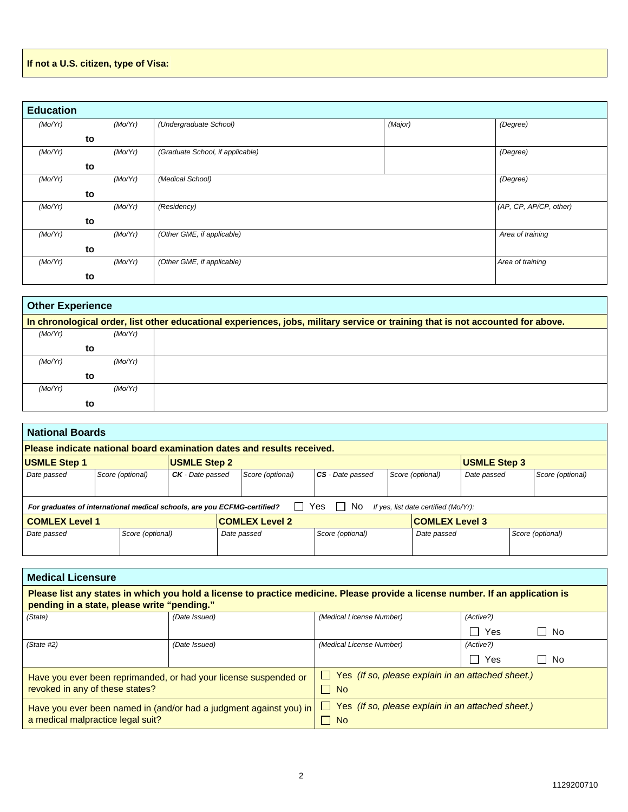## **If not a U.S. citizen, type of Visa:**

| <b>Education</b> |    |         |                                  |         |                        |
|------------------|----|---------|----------------------------------|---------|------------------------|
| (Mo/Yr)          |    | (Mo/Yr) | (Undergraduate School)           | (Major) | (Degree)               |
|                  | to |         |                                  |         |                        |
| (Mo/Yr)          |    | (Mo/Yr) | (Graduate School, if applicable) |         | (Degree)               |
|                  | to |         |                                  |         |                        |
| (Mo/Yr)          |    | (Mo/Yr) | (Medical School)                 |         | (Degree)               |
|                  | to |         |                                  |         |                        |
| (Mo/Yr)          |    | (Mo/Yr) | (Residency)                      |         | (AP, CP, AP/CP, other) |
|                  | to |         |                                  |         |                        |
| (Mo/Yr)          |    | (Mo/Yr) | (Other GME, if applicable)       |         | Area of training       |
|                  | to |         |                                  |         |                        |
| (Mo/Yr)          |    | (Mo/Yr) | (Other GME, if applicable)       |         | Area of training       |
|                  | to |         |                                  |         |                        |

| <b>Other Experience</b> |                                                                                                                                 |  |  |  |  |  |  |
|-------------------------|---------------------------------------------------------------------------------------------------------------------------------|--|--|--|--|--|--|
|                         | In chronological order, list other educational experiences, jobs, military service or training that is not accounted for above. |  |  |  |  |  |  |
| (Mo/Yr)                 | (Mo/Yr)                                                                                                                         |  |  |  |  |  |  |
|                         | to                                                                                                                              |  |  |  |  |  |  |
| (Mo/Yr)                 | (Mo/Yr)                                                                                                                         |  |  |  |  |  |  |
|                         | to                                                                                                                              |  |  |  |  |  |  |
| (Mo/Yr)                 | (Mo/Yr)                                                                                                                         |  |  |  |  |  |  |
|                         | to                                                                                                                              |  |  |  |  |  |  |

| <b>National Boards</b>                                                   |                                                                         |                  |                     |  |                                                                        |                  |                                 |                                      |                     |  |                  |
|--------------------------------------------------------------------------|-------------------------------------------------------------------------|------------------|---------------------|--|------------------------------------------------------------------------|------------------|---------------------------------|--------------------------------------|---------------------|--|------------------|
|                                                                          |                                                                         |                  |                     |  | Please indicate national board examination dates and results received. |                  |                                 |                                      |                     |  |                  |
| <b>USMLE Step 1</b>                                                      |                                                                         |                  | <b>USMLE Step 2</b> |  |                                                                        |                  |                                 |                                      | <b>USMLE Step 3</b> |  |                  |
| Date passed                                                              | Score (optional)                                                        |                  | CK - Date passed    |  | Score (optional)                                                       | CS - Date passed |                                 | Score (optional)                     | Date passed         |  | Score (optional) |
|                                                                          |                                                                         |                  |                     |  |                                                                        |                  |                                 |                                      |                     |  |                  |
| For graduates of international medical schools, are you ECFMG-certified? |                                                                         |                  |                     |  |                                                                        | Yes<br>l I No    |                                 | If yes, list date certified (Mo/Yr): |                     |  |                  |
|                                                                          | <b>COMLEX Level 3</b><br><b>COMLEX Level 2</b><br><b>COMLEX Level 1</b> |                  |                     |  |                                                                        |                  |                                 |                                      |                     |  |                  |
| Date passed                                                              |                                                                         | Score (optional) |                     |  | Date passed                                                            | Score (optional) | Score (optional)<br>Date passed |                                      |                     |  |                  |
|                                                                          |                                                                         |                  |                     |  |                                                                        |                  |                                 |                                      |                     |  |                  |

| <b>Medical Licensure</b>                                                                                                                                                      |                                                                    |                                                                       |                       |                      |  |  |  |
|-------------------------------------------------------------------------------------------------------------------------------------------------------------------------------|--------------------------------------------------------------------|-----------------------------------------------------------------------|-----------------------|----------------------|--|--|--|
| Please list any states in which you hold a license to practice medicine. Please provide a license number. If an application is<br>pending in a state, please write "pending." |                                                                    |                                                                       |                       |                      |  |  |  |
| (State)                                                                                                                                                                       | (Date Issued)                                                      | (Medical License Number)                                              | (Active?)             |                      |  |  |  |
|                                                                                                                                                                               |                                                                    |                                                                       | Yes<br>$\blacksquare$ | No<br>$\blacksquare$ |  |  |  |
| (State #2)                                                                                                                                                                    | (Date Issued)                                                      | (Medical License Number)                                              | (Active?)             |                      |  |  |  |
|                                                                                                                                                                               |                                                                    |                                                                       | Yes<br>- 1            | No<br>$\blacksquare$ |  |  |  |
|                                                                                                                                                                               | Have you ever been reprimanded, or had your license suspended or   | $\Box$ Yes (If so, please explain in an attached sheet.)              |                       |                      |  |  |  |
| revoked in any of these states?                                                                                                                                               |                                                                    | $\Box$ No                                                             |                       |                      |  |  |  |
| a medical malpractice legal suit?                                                                                                                                             | Have you ever been named in (and/or had a judgment against you) in | $\Box$ Yes (If so, please explain in an attached sheet.)<br>$\Box$ No |                       |                      |  |  |  |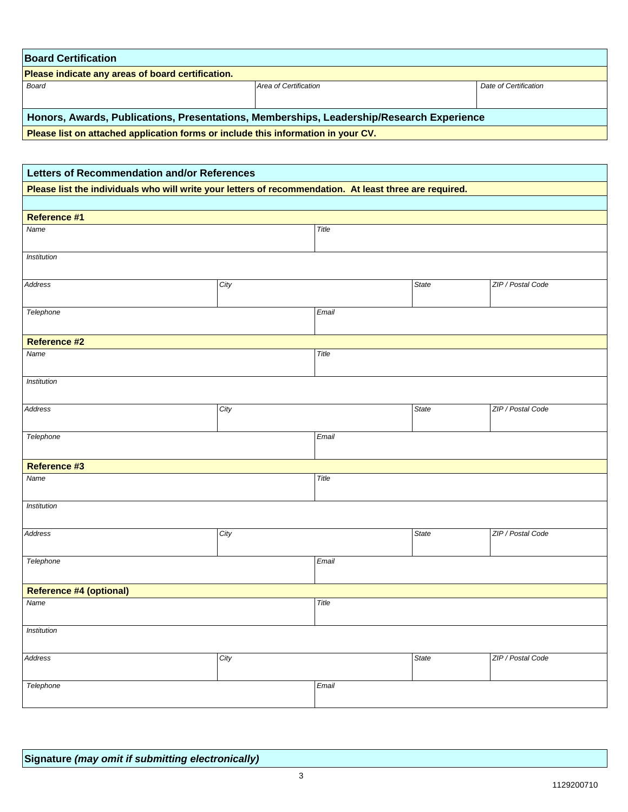| <b>Board Certification</b>                                                               |                       |                       |  |  |  |  |
|------------------------------------------------------------------------------------------|-----------------------|-----------------------|--|--|--|--|
| <b>Please indicate any areas of board certification.</b>                                 |                       |                       |  |  |  |  |
| Board                                                                                    | Area of Certification | Date of Certification |  |  |  |  |
|                                                                                          |                       |                       |  |  |  |  |
| Honors, Awards, Publications, Presentations, Memberships, Leadership/Research Experience |                       |                       |  |  |  |  |
| Please list on attached application forms or include this information in your CV.        |                       |                       |  |  |  |  |

 **Please list on attached application forms or include this information in your CV.** 

| Letters of Recommendation and/or References                                                             |      |       |       |                   |  |  |  |
|---------------------------------------------------------------------------------------------------------|------|-------|-------|-------------------|--|--|--|
| Please list the individuals who will write your letters of recommendation. At least three are required. |      |       |       |                   |  |  |  |
|                                                                                                         |      |       |       |                   |  |  |  |
| <b>Reference #1</b>                                                                                     |      |       |       |                   |  |  |  |
| Name                                                                                                    |      | Title |       |                   |  |  |  |
| Institution                                                                                             |      |       |       |                   |  |  |  |
| Address                                                                                                 | City |       | State | ZIP / Postal Code |  |  |  |
| Telephone                                                                                               |      | Email |       |                   |  |  |  |
| <b>Reference #2</b>                                                                                     |      |       |       |                   |  |  |  |
| Name                                                                                                    |      | Title |       |                   |  |  |  |
| Institution                                                                                             |      |       |       |                   |  |  |  |
| Address                                                                                                 | City |       | State | ZIP / Postal Code |  |  |  |
| Telephone                                                                                               |      | Email |       |                   |  |  |  |
| Reference #3                                                                                            |      |       |       |                   |  |  |  |
| Name                                                                                                    |      | Title |       |                   |  |  |  |
| Institution                                                                                             |      |       |       |                   |  |  |  |
| Address                                                                                                 | City |       | State | ZIP / Postal Code |  |  |  |
| Telephone                                                                                               |      | Email |       |                   |  |  |  |
| <b>Reference #4 (optional)</b>                                                                          |      |       |       |                   |  |  |  |
| Name                                                                                                    |      | Title |       |                   |  |  |  |
| Institution                                                                                             |      |       |       |                   |  |  |  |
| Address                                                                                                 | City |       | State | ZIP / Postal Code |  |  |  |
| Telephone                                                                                               |      | Email |       |                   |  |  |  |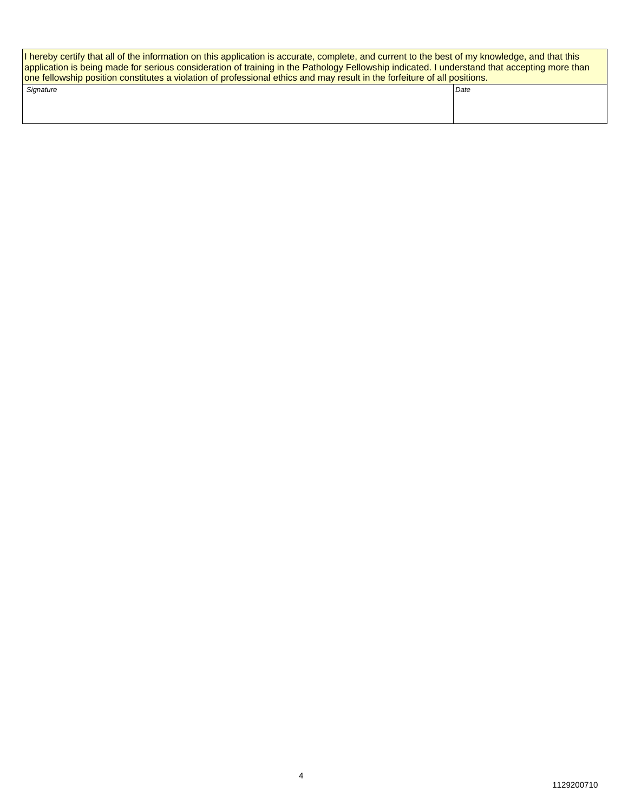| If hereby certify that all of the information on this application is accurate, complete, and current to the best of my knowledge, and that this<br>application is being made for serious consideration of training in the Pathology Fellowship indicated. I understand that accepting more than<br>one fellowship position constitutes a violation of professional ethics and may result in the forfeiture of all positions. |      |  |  |  |  |
|------------------------------------------------------------------------------------------------------------------------------------------------------------------------------------------------------------------------------------------------------------------------------------------------------------------------------------------------------------------------------------------------------------------------------|------|--|--|--|--|
| Signature                                                                                                                                                                                                                                                                                                                                                                                                                    | Date |  |  |  |  |
|                                                                                                                                                                                                                                                                                                                                                                                                                              |      |  |  |  |  |
|                                                                                                                                                                                                                                                                                                                                                                                                                              |      |  |  |  |  |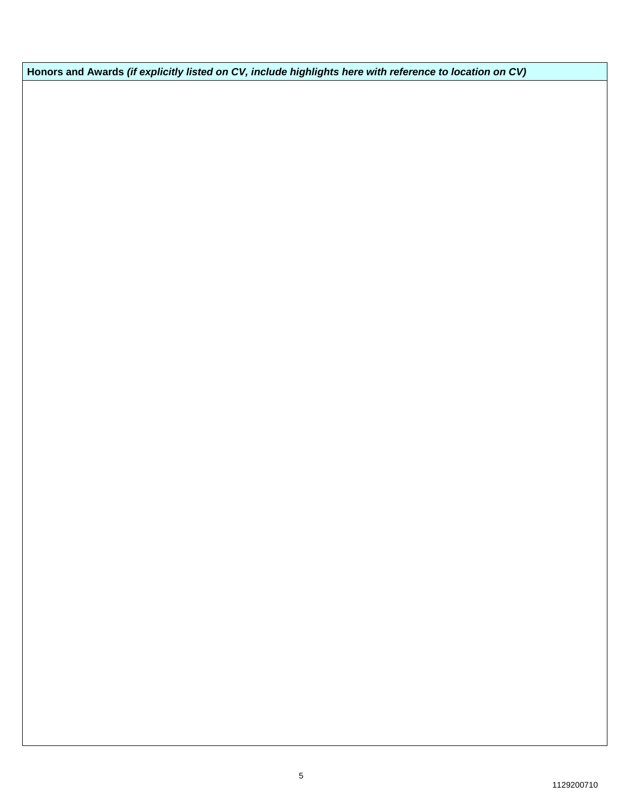**Honors and Awards** *(if explicitly listed on CV, include highlights here with reference to location on CV)*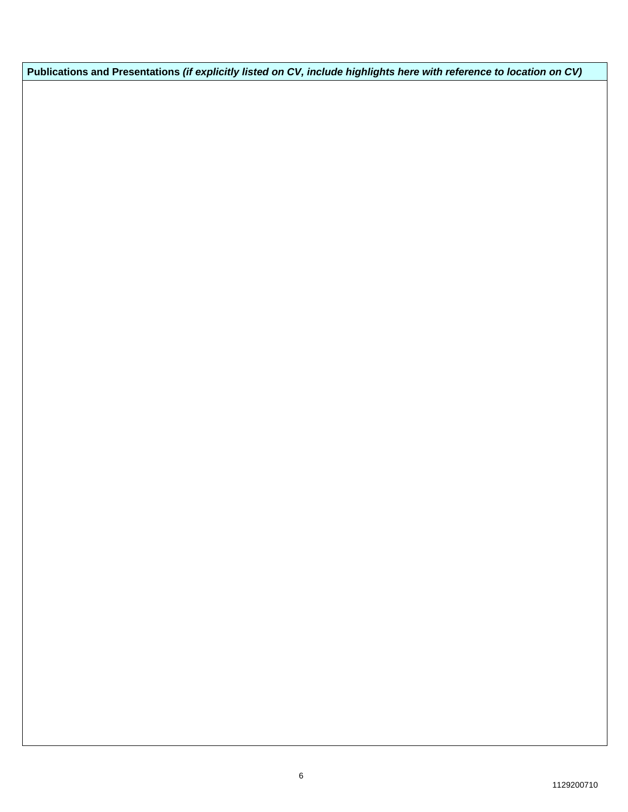**Publications and Presentations** *(if explicitly listed on CV, include highlights here with reference to location on CV)*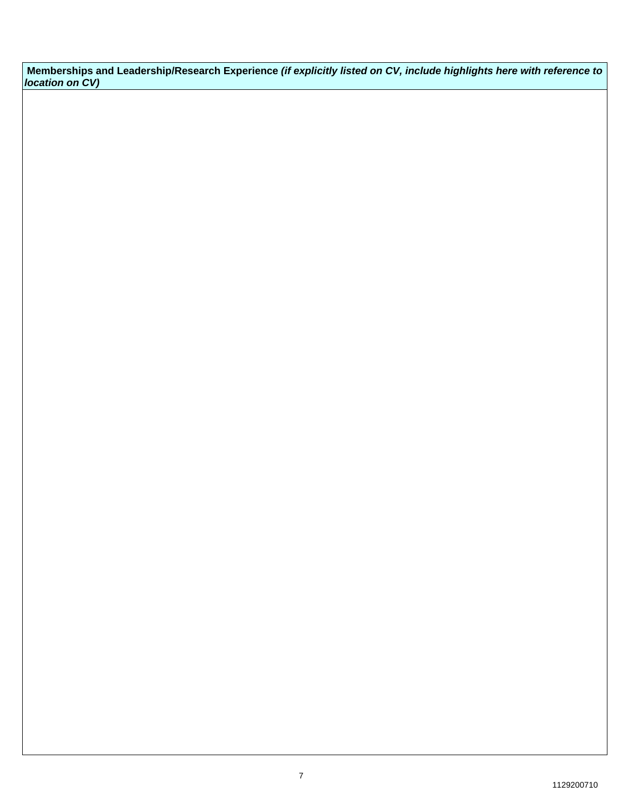**Memberships and Leadership/Research Experience** *(if explicitly listed on CV, include highlights here with reference to location on CV)*